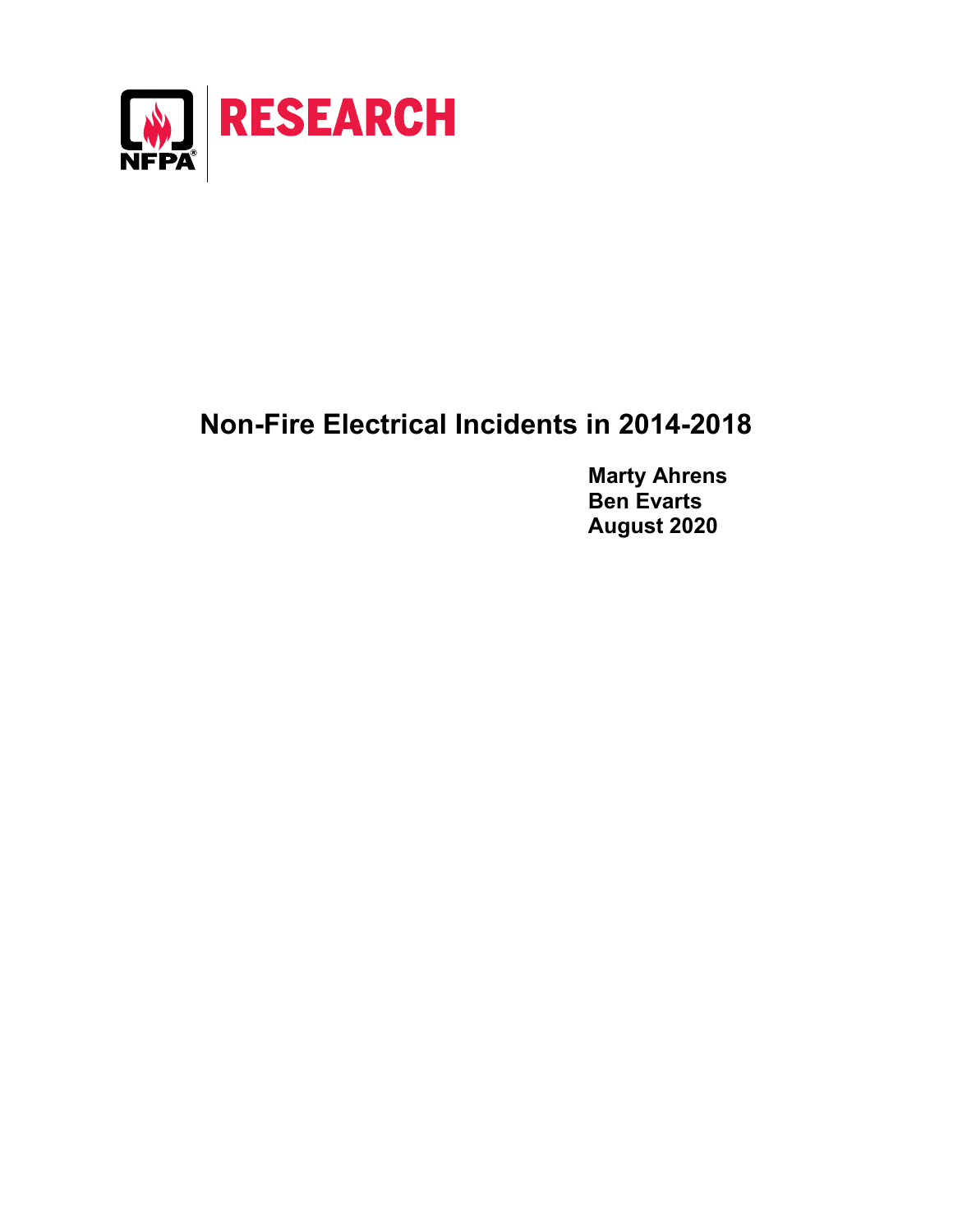

## **Non-Fire Electrical Incidents in 2014-2018**

**Marty Ahrens Ben Evarts August 2020**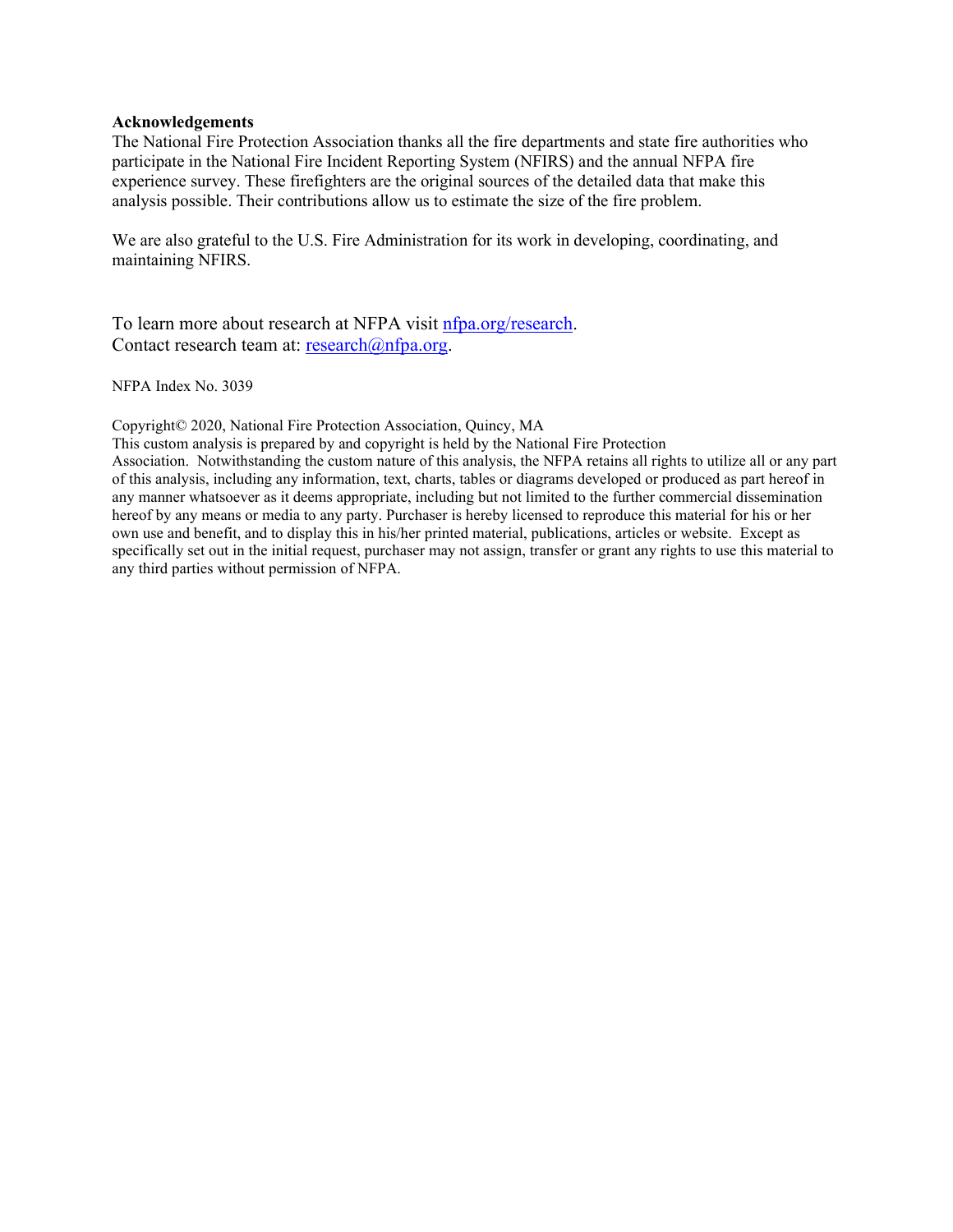## **Acknowledgements**

The National Fire Protection Association thanks all the fire departments and state fire authorities who participate in the National Fire Incident Reporting System (NFIRS) and the annual NFPA fire experience survey. These firefighters are the original sources of the detailed data that make this analysis possible. Their contributions allow us to estimate the size of the fire problem.

We are also grateful to the U.S. Fire Administration for its work in developing, coordinating, and maintaining NFIRS.

To learn more about research at NFPA visit *nfpa.org/research.* Contact research team at: [research@nfpa.org.](mailto:research@nfpa.org)

NFPA Index No. 3039

Copyright© 2020, National Fire Protection Association, Quincy, MA

This custom analysis is prepared by and copyright is held by the National Fire Protection

Association. Notwithstanding the custom nature of this analysis, the NFPA retains all rights to utilize all or any part of this analysis, including any information, text, charts, tables or diagrams developed or produced as part hereof in any manner whatsoever as it deems appropriate, including but not limited to the further commercial dissemination hereof by any means or media to any party. Purchaser is hereby licensed to reproduce this material for his or her own use and benefit, and to display this in his/her printed material, publications, articles or website. Except as specifically set out in the initial request, purchaser may not assign, transfer or grant any rights to use this material to any third parties without permission of NFPA.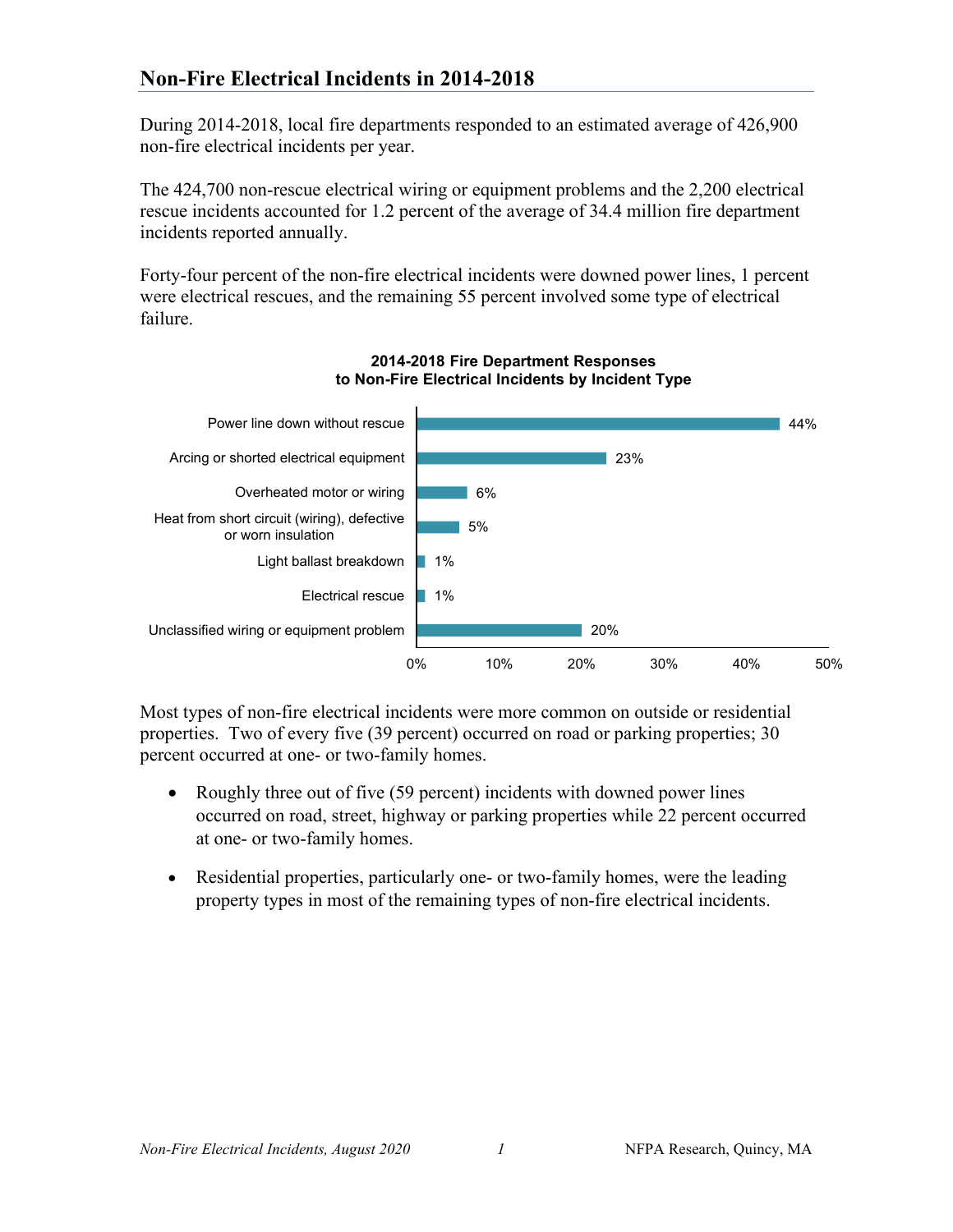During 2014-2018, local fire departments responded to an estimated average of 426,900 non-fire electrical incidents per year.

The 424,700 non-rescue electrical wiring or equipment problems and the 2,200 electrical rescue incidents accounted for 1.2 percent of the average of 34.4 million fire department incidents reported annually.

Forty-four percent of the non-fire electrical incidents were downed power lines, 1 percent were electrical rescues, and the remaining 55 percent involved some type of electrical failure.





Most types of non-fire electrical incidents were more common on outside or residential properties. Two of every five (39 percent) occurred on road or parking properties; 30 percent occurred at one- or two-family homes.

- Roughly three out of five (59 percent) incidents with downed power lines occurred on road, street, highway or parking properties while 22 percent occurred at one- or two-family homes.
- Residential properties, particularly one- or two-family homes, were the leading property types in most of the remaining types of non-fire electrical incidents.